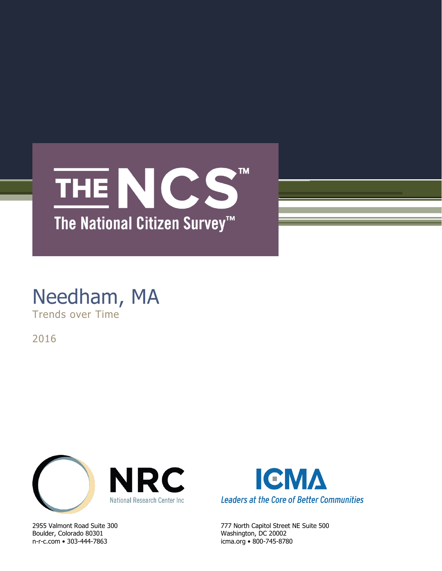

# Needham, MA Trends over Time

2016



Boulder, Colorado 80301 Washington, DC 20002 n-r-c.com • 303-444-7863 icma.org • 800-745-8780



2955 Valmont Road Suite 300 777 North Capitol Street NE Suite 500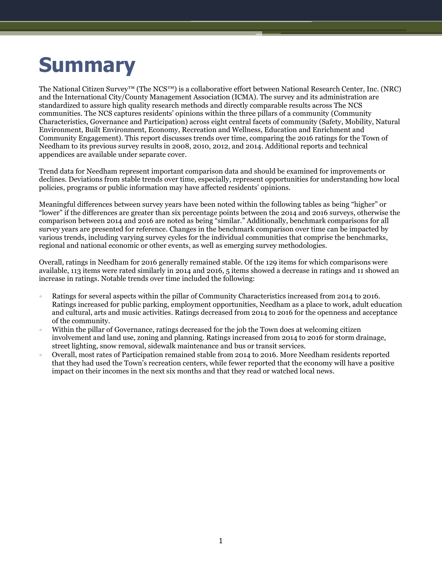# **Summary**

The National Citizen Survey™ (The NCS™) is a collaborative effort between National Research Center, Inc. (NRC) and the International City/County Management Association (ICMA). The survey and its administration are standardized to assure high quality research methods and directly comparable results across The NCS communities. The NCS captures residents' opinions within the three pillars of a community (Community Characteristics, Governance and Participation) across eight central facets of community (Safety, Mobility, Natural Environment, Built Environment, Economy, Recreation and Wellness, Education and Enrichment and Community Engagement). This report discusses trends over time, comparing the 2016 ratings for the Town of Needham to its previous survey results in 2008, 2010, 2012, and 2014. Additional reports and technical appendices are available under separate cover.

Trend data for Needham represent important comparison data and should be examined for improvements or declines. Deviations from stable trends over time, especially, represent opportunities for understanding how local policies, programs or public information may have affected residents' opinions.

Meaningful differences between survey years have been noted within the following tables as being "higher" or "lower" if the differences are greater than six percentage points between the 2014 and 2016 surveys, otherwise the comparison between 2014 and 2016 are noted as being "similar." Additionally, benchmark comparisons for all survey years are presented for reference. Changes in the benchmark comparison over time can be impacted by various trends, including varying survey cycles for the individual communities that comprise the benchmarks, regional and national economic or other events, as well as emerging survey methodologies.

Overall, ratings in Needham for 2016 generally remained stable. Of the 129 items for which comparisons were available, 113 items were rated similarly in 2014 and 2016, 5 items showed a decrease in ratings and 11 showed an increase in ratings. Notable trends over time included the following:

- Ratings for several aspects within the pillar of Community Characteristics increased from 2014 to 2016. Ratings increased for public parking, employment opportunities, Needham as a place to work, adult education and cultural, arts and music activities. Ratings decreased from 2014 to 2016 for the openness and acceptance of the community.
- Within the pillar of Governance, ratings decreased for the job the Town does at welcoming citizen involvement and land use, zoning and planning. Ratings increased from 2014 to 2016 for storm drainage, street lighting, snow removal, sidewalk maintenance and bus or transit services.
- Overall, most rates of Participation remained stable from 2014 to 2016. More Needham residents reported that they had used the Town's recreation centers, while fewer reported that the economy will have a positive impact on their incomes in the next six months and that they read or watched local news.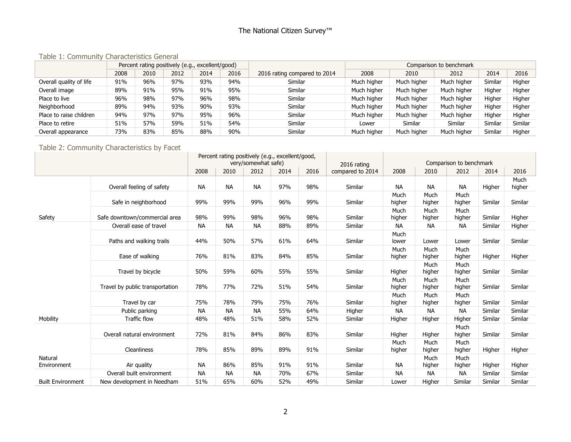#### Table 1: Community Characteristics General

|                         |      |      | Percent rating positively (e.g., excellent/good) |      |      |                              |             |             | Comparison to benchmark |         |         |
|-------------------------|------|------|--------------------------------------------------|------|------|------------------------------|-------------|-------------|-------------------------|---------|---------|
|                         | 2008 | 2010 | 2012                                             | 2014 | 2016 | 2016 rating compared to 2014 | 2008        | 2010        | 2012                    | 2014    | 2016    |
| Overall quality of life | 91%  | 96%  | 97%                                              | 93%  | 94%  | Similar                      | Much higher | Much higher | Much higher             | Similar | Higher  |
| Overall image           | 89%  | 91%  | 95%                                              | 91%  | 95%  | Similar                      | Much higher | Much higher | Much higher             | Higher  | Higher  |
| Place to live           | 96%  | 98%  | 97%                                              | 96%  | 98%  | Similar                      | Much higher | Much higher | Much higher             | Higher  | Higher  |
| Neighborhood            | 89%  | 94%  | 93%                                              | 90%  | 93%  | Similar                      | Much higher | Much higher | Much higher             | Higher  | Higher  |
| Place to raise children | 94%  | 97%  | 97%                                              | 95%  | 96%  | Similar                      | Much higher | Much higher | Much higher             | Higher  | Higher  |
| Place to retire         | 51%  | 57%  | 59%                                              | 51%  | 54%  | Similar                      | Lower       | Similar     | Similar                 | Similar | Similar |
| Overall appearance      | 73%  | 83%  | 85%                                              | 88%  | 90%  | Similar                      | Much higher | Much higher | Much higher             | Similar | Higher  |

# Table 2: Community Characteristics by Facet

|                          |                                 | Percent rating positively (e.g., excellent/good,<br>very/somewhat safe) |           |           |      |      |                  |                |                |                         |         |                |
|--------------------------|---------------------------------|-------------------------------------------------------------------------|-----------|-----------|------|------|------------------|----------------|----------------|-------------------------|---------|----------------|
|                          |                                 |                                                                         |           |           |      |      | 2016 rating      |                |                | Comparison to benchmark |         |                |
|                          |                                 | 2008                                                                    | 2010      | 2012      | 2014 | 2016 | compared to 2014 | 2008           | 2010           | 2012                    | 2014    | 2016           |
|                          | Overall feeling of safety       | <b>NA</b>                                                               | <b>NA</b> | <b>NA</b> | 97%  | 98%  | Similar          | <b>NA</b>      | <b>NA</b>      | <b>NA</b>               | Higher  | Much<br>higher |
|                          | Safe in neighborhood            | 99%                                                                     | 99%       | 99%       | 96%  | 99%  | Similar          | Much<br>higher | Much<br>higher | Much<br>higher          | Similar | Similar        |
| Safety                   | Safe downtown/commercial area   | 98%                                                                     | 99%       | 98%       | 96%  | 98%  | Similar          | Much<br>higher | Much<br>higher | Much<br>higher          | Similar | Higher         |
|                          | Overall ease of travel          | <b>NA</b>                                                               | <b>NA</b> | <b>NA</b> | 88%  | 89%  | Similar          | <b>NA</b>      | <b>NA</b>      | <b>NA</b>               | Similar | Higher         |
|                          | Paths and walking trails        | 44%                                                                     | 50%       | 57%       | 61%  | 64%  | Similar          | Much<br>lower  | Lower          | Lower                   | Similar | Similar        |
|                          | Ease of walking                 | 76%                                                                     | 81%       | 83%       | 84%  | 85%  | Similar          | Much<br>higher | Much<br>higher | Much<br>higher          | Higher  | Higher         |
|                          | Travel by bicycle               | 50%                                                                     | 59%       | 60%       | 55%  | 55%  | Similar          | Higher         | Much<br>higher | Much<br>higher          | Similar | Similar        |
|                          | Travel by public transportation | 78%                                                                     | 77%       | 72%       | 51%  | 54%  | Similar          | Much<br>higher | Much<br>higher | Much<br>higher          | Similar | Similar        |
|                          | Travel by car                   | 75%                                                                     | 78%       | 79%       | 75%  | 76%  | Similar          | Much<br>higher | Much<br>higher | Much<br>higher          | Similar | Similar        |
|                          | Public parking                  | <b>NA</b>                                                               | <b>NA</b> | <b>NA</b> | 55%  | 64%  | Higher           | <b>NA</b>      | <b>NA</b>      | <b>NA</b>               | Similar | Similar        |
| Mobility                 | <b>Traffic flow</b>             | 48%                                                                     | 48%       | 51%       | 58%  | 52%  | Similar          | Higher         | Higher         | Higher                  | Similar | Similar        |
|                          | Overall natural environment     | 72%                                                                     | 81%       | 84%       | 86%  | 83%  | Similar          | Higher         | Higher         | Much<br>higher          | Similar | Similar        |
|                          | Cleanliness                     | 78%                                                                     | 85%       | 89%       | 89%  | 91%  | Similar          | Much<br>higher | Much<br>higher | Much<br>higher          | Higher  | Higher         |
| Natural<br>Environment   | Air quality                     | <b>NA</b>                                                               | 86%       | 85%       | 91%  | 91%  | Similar          | NA             | Much<br>higher | Much<br>higher          | Higher  | Higher         |
|                          | Overall built environment       | <b>NA</b>                                                               | <b>NA</b> | <b>NA</b> | 70%  | 67%  | Similar          | <b>NA</b>      | <b>NA</b>      | <b>NA</b>               | Similar | Similar        |
| <b>Built Environment</b> | New development in Needham      | 51%                                                                     | 65%       | 60%       | 52%  | 49%  | Similar          | Lower          | Higher         | Similar                 | Similar | Similar        |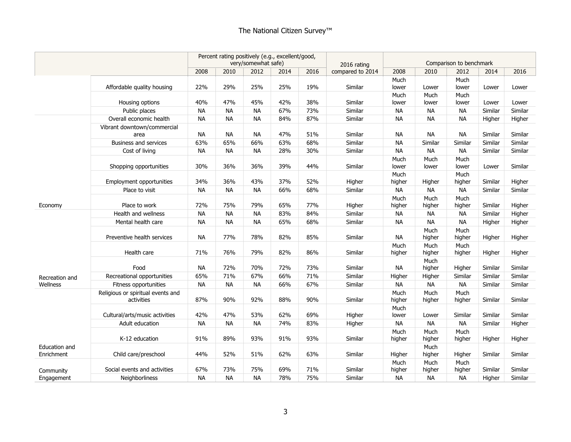|                                    |                                                 | Percent rating positively (e.g., excellent/good,<br>very/somewhat safe) |           | 2016 rating |      |      | Comparison to benchmark |                |                |                |         |         |
|------------------------------------|-------------------------------------------------|-------------------------------------------------------------------------|-----------|-------------|------|------|-------------------------|----------------|----------------|----------------|---------|---------|
|                                    |                                                 | 2008                                                                    | 2010      | 2012        | 2014 | 2016 | compared to 2014        | 2008           | 2010           | 2012           | 2014    | 2016    |
|                                    | Affordable quality housing                      | 22%                                                                     | 29%       | 25%         | 25%  | 19%  | Similar                 | Much<br>lower  | Lower          | Much<br>lower  | Lower   | Lower   |
|                                    | Housing options                                 | 40%                                                                     | 47%       | 45%         | 42%  | 38%  | Similar                 | Much<br>lower  | Much<br>lower  | Much<br>lower  | Lower   | Lower   |
|                                    | Public places                                   | <b>NA</b>                                                               | <b>NA</b> | <b>NA</b>   | 67%  | 73%  | Similar                 | <b>NA</b>      | <b>NA</b>      | <b>NA</b>      | Similar | Similar |
|                                    | Overall economic health                         | <b>NA</b>                                                               | <b>NA</b> | <b>NA</b>   | 84%  | 87%  | Similar                 | <b>NA</b>      | <b>NA</b>      | <b>NA</b>      | Higher  | Higher  |
|                                    | Vibrant downtown/commercial<br>area             | <b>NA</b>                                                               | <b>NA</b> | <b>NA</b>   | 47%  | 51%  | Similar                 | <b>NA</b>      | <b>NA</b>      | <b>NA</b>      | Similar | Similar |
|                                    | <b>Business and services</b>                    | 63%                                                                     | 65%       | 66%         | 63%  | 68%  | Similar                 | <b>NA</b>      | Similar        | Similar        | Similar | Similar |
|                                    | Cost of living                                  | <b>NA</b>                                                               | <b>NA</b> | <b>NA</b>   | 28%  | 30%  | Similar                 | <b>NA</b>      | <b>NA</b>      | <b>NA</b>      | Similar | Similar |
|                                    | Shopping opportunities                          | 30%                                                                     | 36%       | 36%         | 39%  | 44%  | Similar                 | Much<br>lower  | Much<br>lower  | Much<br>lower  | Lower   | Similar |
|                                    | Employment opportunities                        | 34%                                                                     | 36%       | 43%         | 37%  | 52%  | Higher                  | Much<br>higher | Higher         | Much<br>higher | Similar | Higher  |
|                                    | Place to visit                                  | <b>NA</b>                                                               | <b>NA</b> | <b>NA</b>   | 66%  | 68%  | Similar                 | <b>NA</b>      | <b>NA</b>      | <b>NA</b>      | Similar | Similar |
| Economy                            | Place to work                                   | 72%                                                                     | 75%       | 79%         | 65%  | 77%  | Higher                  | Much<br>higher | Much<br>higher | Much<br>higher | Similar | Higher  |
|                                    | Health and wellness                             | <b>NA</b>                                                               | <b>NA</b> | <b>NA</b>   | 83%  | 84%  | Similar                 | <b>NA</b>      | <b>NA</b>      | <b>NA</b>      | Similar | Higher  |
|                                    | Mental health care                              | <b>NA</b>                                                               | <b>NA</b> | <b>NA</b>   | 65%  | 68%  | Similar                 | <b>NA</b>      | <b>NA</b>      | <b>NA</b>      | Higher  | Higher  |
|                                    | Preventive health services                      | <b>NA</b>                                                               | 77%       | 78%         | 82%  | 85%  | Similar                 | <b>NA</b>      | Much<br>higher | Much<br>higher | Higher  | Higher  |
|                                    | Health care                                     | 71%                                                                     | 76%       | 79%         | 82%  | 86%  | Similar                 | Much<br>higher | Much<br>higher | Much<br>higher | Higher  | Higher  |
|                                    | Food                                            | <b>NA</b>                                                               | 72%       | 70%         | 72%  | 73%  | Similar                 | <b>NA</b>      | Much<br>higher | Higher         | Similar | Similar |
| Recreation and                     | Recreational opportunities                      | 65%                                                                     | 71%       | 67%         | 66%  | 71%  | Similar                 | Higher         | Higher         | Similar        | Similar | Similar |
| Wellness                           | Fitness opportunities                           | <b>NA</b>                                                               | <b>NA</b> | <b>NA</b>   | 66%  | 67%  | Similar                 | <b>NA</b>      | <b>NA</b>      | <b>NA</b>      | Similar | Similar |
|                                    | Religious or spiritual events and<br>activities | 87%                                                                     | 90%       | 92%         | 88%  | 90%  | Similar                 | Much<br>higher | Much<br>higher | Much<br>higher | Similar | Similar |
|                                    | Cultural/arts/music activities                  | 42%                                                                     | 47%       | 53%         | 62%  | 69%  | Higher                  | Much<br>lower  | Lower          | Similar        | Similar | Similar |
|                                    | Adult education                                 | <b>NA</b>                                                               | <b>NA</b> | <b>NA</b>   | 74%  | 83%  | Higher                  | <b>NA</b>      | <b>NA</b>      | <b>NA</b>      | Similar | Higher  |
|                                    | K-12 education                                  | 91%                                                                     | 89%       | 93%         | 91%  | 93%  | Similar                 | Much<br>higher | Much<br>higher | Much<br>higher | Higher  | Higher  |
| <b>Education and</b><br>Enrichment | Child care/preschool                            | 44%                                                                     | 52%       | 51%         | 62%  | 63%  | Similar                 | Higher         | Much<br>higher | Higher         | Similar | Similar |
| Community                          | Social events and activities                    | 67%                                                                     | 73%       | 75%         | 69%  | 71%  | Similar                 | Much<br>higher | Much<br>higher | Much<br>higher | Similar | Similar |
| Engagement                         | <b>Neighborliness</b>                           | <b>NA</b>                                                               | <b>NA</b> | <b>NA</b>   | 78%  | 75%  | Similar                 | <b>NA</b>      | <b>NA</b>      | <b>NA</b>      | Higher  | Similar |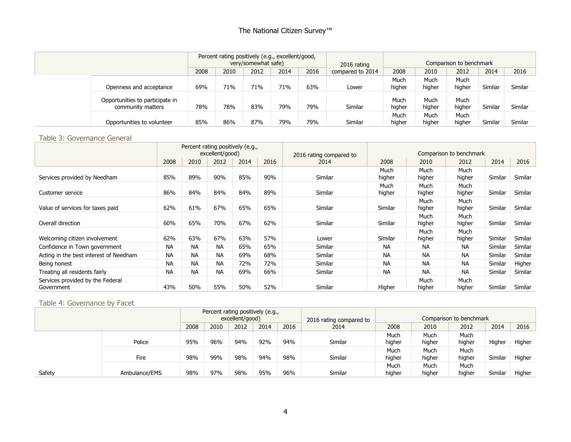|                                                      |      | Percent rating positively (e.g., excellent/good, | very/somewhat safe) |      |      | 2016 rating      |                |                | Comparison to benchmark |         |         |
|------------------------------------------------------|------|--------------------------------------------------|---------------------|------|------|------------------|----------------|----------------|-------------------------|---------|---------|
|                                                      | 2008 | 2010                                             | 2012                | 2014 | 2016 | compared to 2014 | 2008           | 2010           | 2012                    | 2014    | 2016    |
| Openness and acceptance                              | 69%  | 71%                                              | 71%                 | 71%  | 63%  | Lower            | Much<br>higher | Much<br>higher | Much<br>higher          | Similar | Similar |
| Opportunities to participate in<br>community matters | 78%  | 78%                                              | 83%                 | 79%  | 79%  | Similar          | Much<br>higher | Much<br>higher | Much<br>higher          | Similar | Similar |
| Opportunities to volunteer                           | 85%  | 86%                                              | 87%                 | 79%  | 79%  | Similar          | Much<br>higher | Much<br>higher | Much<br>higher          | Similar | Similar |

#### Table 3: Governance General

|                                                |           |           | excellent/good) | Percent rating positively (e.g., |      | 2016 rating compared to |                |                                                                                                                                                    | Comparison to benchmark |         |         |
|------------------------------------------------|-----------|-----------|-----------------|----------------------------------|------|-------------------------|----------------|----------------------------------------------------------------------------------------------------------------------------------------------------|-------------------------|---------|---------|
|                                                | 2008      | 2010      | 2012            | 2014                             | 2016 | 2014                    | 2008           | 2010<br>Much<br>higher<br>Much<br>higher<br>Much<br>higher<br>Much<br>higher<br>Much<br>higher<br><b>NA</b><br><b>NA</b><br><b>NA</b><br><b>NA</b> | 2012                    | 2014    | 2016    |
| Services provided by Needham                   | 85%       | 89%       | 90%             | 85%                              | 90%  | Similar                 | Much<br>higher |                                                                                                                                                    | Much<br>higher          | Similar | Similar |
| Customer service                               | 86%       | 84%       | 84%             | 84%                              | 89%  | Similar                 | Much<br>higher |                                                                                                                                                    | Much<br>higher          | Similar | Similar |
| Value of services for taxes paid               | 62%       | 61%       | 67%             | 65%                              | 65%  | Similar                 | Similar        |                                                                                                                                                    | Much<br>higher          | Similar | Similar |
| Overall direction                              | 60%       | 65%       | 70%             | 67%                              | 62%  | Similar                 | Similar        |                                                                                                                                                    | Much<br>higher          | Similar | Similar |
| Welcoming citizen involvement                  | 62%       | 63%       | 67%             | 63%                              | 57%  | Lower                   | Similar        |                                                                                                                                                    | Much<br>higher          | Similar | Similar |
| Confidence in Town government                  | <b>NA</b> | <b>NA</b> | <b>NA</b>       | 65%                              | 65%  | Similar                 | <b>NA</b>      |                                                                                                                                                    | <b>NA</b>               | Similar | Similar |
| Acting in the best interest of Needham         | <b>NA</b> | <b>NA</b> | <b>NA</b>       | 69%                              | 68%  | Similar                 | <b>NA</b>      |                                                                                                                                                    | <b>NA</b>               | Similar | Similar |
| Being honest                                   | <b>NA</b> | <b>NA</b> | <b>NA</b>       | 72%                              | 72%  | Similar                 | <b>NA</b>      |                                                                                                                                                    | <b>NA</b>               | Similar | Higher  |
| Treating all residents fairly                  | <b>NA</b> | <b>NA</b> | <b>NA</b>       | 69%                              | 66%  | Similar                 | <b>NA</b>      |                                                                                                                                                    | <b>NA</b>               | Similar | Similar |
| Services provided by the Federal<br>Government | 43%       | 50%       | 55%             | 50%                              | 52%  | Similar                 | Higher         | Much<br>higher                                                                                                                                     | Much<br>higher          | Similar | Similar |

# Table 4: Governance by Facet

|        |               |      |      | excellent/good) | Percent rating positively (e.g., |      | 2016 rating compared to |                |                | Comparison to benchmark |         |        |
|--------|---------------|------|------|-----------------|----------------------------------|------|-------------------------|----------------|----------------|-------------------------|---------|--------|
|        |               | 2008 | 2010 | 2012            | 2014                             | 2016 | 2014                    | 2008           | 2010           | 2012                    | 2014    | 2016   |
|        | Police        |      |      | 94%             | 92%                              | 94%  | Similar                 | Much<br>higher | Much<br>higher | Much<br>higher          | Higher  | Higher |
|        | Fire          | 98%  | 99%  | 98%             | 94%                              | 98%  | Similar                 | Much<br>higher | Much<br>higher | Much<br>higher          | Similar | Higher |
| Safety | Ambulance/EMS |      | 97%  | 98%             | 95%                              | 96%  | Similar                 | Much<br>higher | Much<br>higher | Much<br>higher          | Similar | Higher |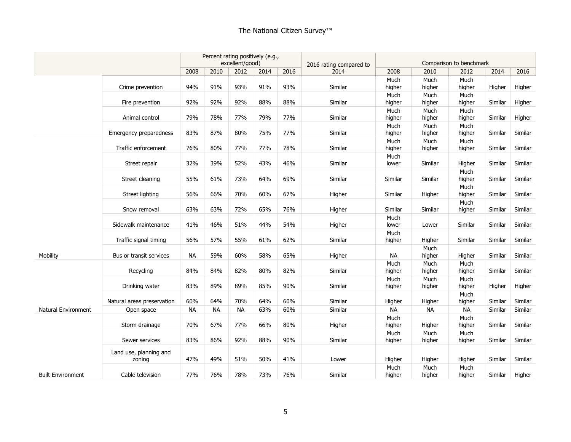|                          |                                  | Percent rating positively (e.g.,<br>excellent/good) |           |           |      |      |                                 |                |                | Comparison to benchmark |         |         |
|--------------------------|----------------------------------|-----------------------------------------------------|-----------|-----------|------|------|---------------------------------|----------------|----------------|-------------------------|---------|---------|
|                          |                                  | 2008                                                | 2010      | 2012      | 2014 | 2016 | 2016 rating compared to<br>2014 | 2008           | 2010           | 2012                    | 2014    | 2016    |
|                          |                                  |                                                     |           |           |      |      |                                 | Much           | Much           | Much                    |         |         |
|                          | Crime prevention                 | 94%                                                 | 91%       | 93%       | 91%  | 93%  | Similar                         | higher         | higher         | higher                  | Higher  | Higher  |
|                          | Fire prevention                  | 92%                                                 | 92%       | 92%       | 88%  | 88%  | Similar                         | Much<br>higher | Much<br>higher | Much<br>higher          | Similar | Higher  |
|                          | Animal control                   | 79%                                                 | 78%       | 77%       | 79%  | 77%  | Similar                         | Much<br>higher | Much<br>higher | Much<br>higher          | Similar | Higher  |
|                          | Emergency preparedness           | 83%                                                 | 87%       | 80%       | 75%  | 77%  | Similar                         | Much<br>higher | Much<br>higher | Much<br>higher          | Similar | Similar |
|                          | Traffic enforcement              | 76%                                                 | 80%       | 77%       | 77%  | 78%  | Similar                         | Much<br>higher | Much<br>higher | Much<br>higher          | Similar | Similar |
|                          | Street repair                    | 32%                                                 | 39%       | 52%       | 43%  | 46%  | Similar                         | Much<br>lower  | Similar        | Higher                  | Similar | Similar |
|                          | Street cleaning                  | 55%                                                 | 61%       | 73%       | 64%  | 69%  | Similar                         | Similar        | Similar        | Much<br>higher          | Similar | Similar |
|                          | Street lighting                  | 56%                                                 | 66%       | 70%       | 60%  | 67%  | Higher                          | Similar        | Higher         | Much<br>higher          | Similar | Similar |
|                          | Snow removal                     | 63%                                                 | 63%       | 72%       | 65%  | 76%  | Higher                          | Similar        | Similar        | Much<br>higher          | Similar | Similar |
|                          | Sidewalk maintenance             | 41%                                                 | 46%       | 51%       | 44%  | 54%  | Higher                          | Much<br>lower  | Lower          | Similar                 | Similar | Similar |
|                          | Traffic signal timing            | 56%                                                 | 57%       | 55%       | 61%  | 62%  | Similar                         | Much<br>higher | Higher         | Similar                 | Similar | Similar |
| Mobility                 | Bus or transit services          | <b>NA</b>                                           | 59%       | 60%       | 58%  | 65%  | Higher                          | <b>NA</b>      | Much<br>higher | Higher                  | Similar | Similar |
|                          | Recycling                        | 84%                                                 | 84%       | 82%       | 80%  | 82%  | Similar                         | Much<br>higher | Much<br>higher | Much<br>higher          | Similar | Similar |
|                          | Drinking water                   | 83%                                                 | 89%       | 89%       | 85%  | 90%  | Similar                         | Much<br>higher | Much<br>higher | Much<br>higher          | Higher  | Higher  |
|                          | Natural areas preservation       | 60%                                                 | 64%       | 70%       | 64%  | 60%  | Similar                         | Higher         | Higher         | Much<br>higher          | Similar | Similar |
| Natural Environment      | Open space                       | <b>NA</b>                                           | <b>NA</b> | <b>NA</b> | 63%  | 60%  | Similar                         | <b>NA</b>      | <b>NA</b>      | <b>NA</b>               | Similar | Similar |
|                          | Storm drainage                   | 70%                                                 | 67%       | 77%       | 66%  | 80%  | Higher                          | Much<br>higher | Higher         | Much<br>higher          | Similar | Similar |
|                          | Sewer services                   | 83%                                                 | 86%       | 92%       | 88%  | 90%  | Similar                         | Much<br>higher | Much<br>higher | Much<br>higher          | Similar | Similar |
|                          | Land use, planning and<br>zoning | 47%                                                 | 49%       | 51%       | 50%  | 41%  | Lower                           | Higher         | Higher         | Higher                  | Similar | Similar |
| <b>Built Environment</b> | Cable television                 | 77%                                                 | 76%       | 78%       | 73%  | 76%  | Similar                         | Much<br>higher | Much<br>higher | Much<br>higher          | Similar | Higher  |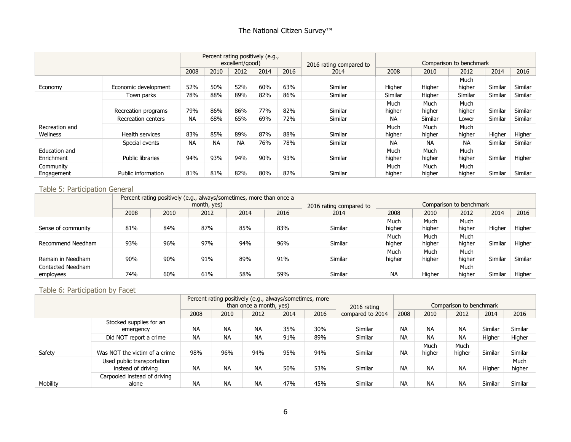|                             |                      |           |           | excellent/good) | Percent rating positively (e.g., |      | 2016 rating compared to |                |                | Comparison to benchmark |         |         |
|-----------------------------|----------------------|-----------|-----------|-----------------|----------------------------------|------|-------------------------|----------------|----------------|-------------------------|---------|---------|
|                             |                      | 2008      | 2010      | 2012            | 2014                             | 2016 | 2014                    | 2008           | 2010           | 2012                    | 2014    | 2016    |
| Economy                     | Economic development | 52%       | 50%       | 52%             | 60%                              | 63%  | Similar                 | Higher         | Higher         | Much<br>higher          | Similar | Similar |
|                             | Town parks           | 78%       | 88%       | 89%             | 82%                              | 86%  | Similar                 | Similar        | Higher         | Similar                 | Similar | Similar |
|                             | Recreation programs  | 79%       | 86%       | 86%             | 77%                              | 82%  | Similar                 | Much<br>higher | Much<br>higher | Much<br>higher          | Similar | Similar |
|                             | Recreation centers   | <b>NA</b> | 68%       | 65%             | 69%                              | 72%  | Similar                 | ΝA             | Similar        | Lower                   | Similar | Similar |
| Recreation and<br>Wellness  | Health services      | 83%       | 85%       | 89%             | 87%                              | 88%  | Similar                 | Much<br>higher | Much<br>higher | Much<br>higher          | Higher  | Higher  |
|                             | Special events       | <b>NA</b> | <b>NA</b> | <b>NA</b>       | 76%                              | 78%  | Similar                 | ΝA             | <b>NA</b>      | <b>NA</b>               | Similar | Similar |
| Education and<br>Enrichment | Public libraries     | 94%       | 93%       | 94%             | 90%                              | 93%  | Similar                 | Much<br>higher | Much<br>higher | Much<br>higher          | Similar | Higher  |
| Community<br>Engagement     | Public information   | 81%       | 81%       | 82%             | 80%                              | 82%  | Similar                 | Much<br>higher | Much<br>higher | Much<br>higher          | Similar | Similar |

# Table 5: Participation General

|                    |      | Percent rating positively (e.g., always/sometimes, more than once a |             |      |      |                         |           |        |                         |         |         |
|--------------------|------|---------------------------------------------------------------------|-------------|------|------|-------------------------|-----------|--------|-------------------------|---------|---------|
|                    |      |                                                                     | month, yes) |      |      | 2016 rating compared to |           |        | Comparison to benchmark |         |         |
|                    | 2008 | 2010                                                                | 2012        | 2014 | 2016 | 2014                    | 2008      | 2010   | 2012                    | 2014    | 2016    |
|                    |      |                                                                     |             |      |      |                         | Much      | Much   | Much                    |         |         |
| Sense of community | 81%  | 84%                                                                 | 87%         | 85%  | 83%  | Similar                 | higher    | higher | higher                  | Higher  | Higher  |
|                    |      |                                                                     |             |      |      |                         | Much      | Much   | Much                    |         |         |
| Recommend Needham  | 93%  | 96%                                                                 | 97%         | 94%  | 96%  | Similar                 | higher    | higher | higher                  | Similar | Higher  |
|                    |      |                                                                     |             |      |      |                         | Much      | Much   | Much                    |         |         |
| Remain in Needham  | 90%  | 90%                                                                 | 91%         | 89%  | 91%  | Similar                 | higher    | higher | higher                  | Similar | Similar |
| Contacted Needham  |      |                                                                     |             |      |      |                         |           |        | Much                    |         |         |
| employees          | 74%  | 60%                                                                 | 61%         | 58%  | 59%  | Similar                 | <b>NA</b> | Higher | higher                  | Similar | Higher  |

#### Table 6: Participation by Facet

|                 |                                                  |           |           | Percent rating positively (e.g., always/sometimes, more<br>than once a month, yes) |      |         | 2016 rating      |           |                | Comparison to benchmark |         |                |
|-----------------|--------------------------------------------------|-----------|-----------|------------------------------------------------------------------------------------|------|---------|------------------|-----------|----------------|-------------------------|---------|----------------|
|                 |                                                  | 2008      | 2010      | 2012                                                                               | 2014 | 2016    | compared to 2014 | 2008      | 2010           | 2012                    | 2014    | 2016           |
|                 | Stocked supplies for an<br>emergency             | <b>NA</b> | <b>NA</b> | <b>NA</b>                                                                          | 35%  | 30%     | Similar          | <b>NA</b> | <b>NA</b>      | <b>NA</b>               | Similar | Similar        |
|                 | <b>NA</b>                                        | <b>NA</b> | <b>NA</b> | 91%                                                                                | 89%  | Similar | <b>NA</b>        | <b>NA</b> | <b>NA</b>      | Higher                  | Higher  |                |
| Safety          | Was NOT the victim of a crime                    | 98%       | 96%       | 94%                                                                                | 95%  | 94%     | Similar          | <b>NA</b> | Much<br>higher | Much<br>higher          | Similar | Similar        |
|                 | Used public transportation<br>instead of driving | <b>NA</b> | <b>NA</b> | <b>NA</b>                                                                          | 50%  | 53%     | Similar          | <b>NA</b> | <b>NA</b>      | <b>NA</b>               | Higher  | Much<br>higher |
| <b>Mobility</b> | Carpooled instead of driving<br>alone            | <b>NA</b> | <b>NA</b> | <b>NA</b>                                                                          | 47%  | 45%     | Similar          | <b>NA</b> | <b>NA</b>      | <b>NA</b>               | Similar | Similar        |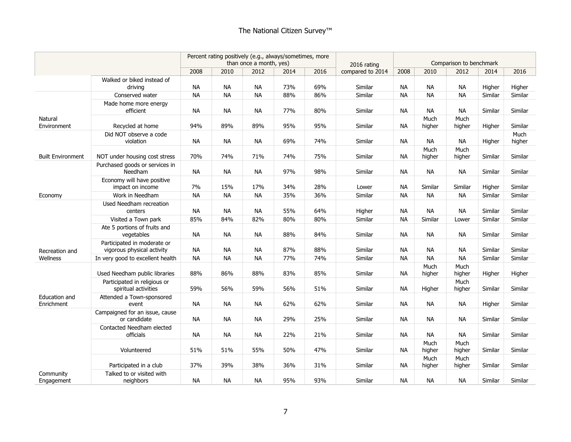|                             |                                                           | Percent rating positively (e.g., always/sometimes, more<br>than once a month, yes) |           |           |      |      | 2016 rating      |           |                | Comparison to benchmark |         |                |
|-----------------------------|-----------------------------------------------------------|------------------------------------------------------------------------------------|-----------|-----------|------|------|------------------|-----------|----------------|-------------------------|---------|----------------|
|                             |                                                           | 2008                                                                               | 2010      | 2012      | 2014 | 2016 | compared to 2014 | 2008      | 2010           | 2012                    | 2014    | 2016           |
|                             | Walked or biked instead of<br>driving                     | NA                                                                                 | <b>NA</b> | <b>NA</b> | 73%  | 69%  | Similar          | NА        | <b>NA</b>      | <b>NA</b>               | Higher  | Higher         |
|                             | Conserved water                                           | <b>NA</b>                                                                          | <b>NA</b> | <b>NA</b> | 88%  | 86%  | Similar          | <b>NA</b> | <b>NA</b>      | <b>NA</b>               | Similar | Similar        |
|                             | Made home more energy                                     |                                                                                    |           |           |      |      |                  |           |                |                         |         |                |
|                             | efficient                                                 | NA.                                                                                | <b>NA</b> | <b>NA</b> | 77%  | 80%  | Similar          | <b>NA</b> | <b>NA</b>      | <b>NA</b>               | Similar | Similar        |
| Natural<br>Environment      | Recycled at home                                          | 94%                                                                                | 89%       | 89%       | 95%  | 95%  | Similar          | <b>NA</b> | Much<br>higher | Much<br>higher          | Higher  | Similar        |
|                             | Did NOT observe a code<br>violation                       | <b>NA</b>                                                                          | <b>NA</b> | <b>NA</b> | 69%  | 74%  | Similar          | <b>NA</b> | <b>NA</b>      | <b>NA</b>               | Higher  | Much<br>higher |
| <b>Built Environment</b>    | NOT under housing cost stress                             | 70%                                                                                | 74%       | 71%       | 74%  | 75%  | Similar          | <b>NA</b> | Much<br>higher | Much<br>higher          | Similar | Similar        |
|                             | Purchased goods or services in<br>Needham                 | <b>NA</b>                                                                          | <b>NA</b> | <b>NA</b> | 97%  | 98%  | Similar          | NА        | <b>NA</b>      | <b>NA</b>               | Similar | Similar        |
|                             | Economy will have positive<br>impact on income            | 7%                                                                                 | 15%       | 17%       | 34%  | 28%  | Lower            | <b>NA</b> | Similar        | Similar                 | Higher  | Similar        |
| Economy                     | Work in Needham                                           | <b>NA</b>                                                                          | <b>NA</b> | <b>NA</b> | 35%  | 36%  | Similar          | <b>NA</b> | <b>NA</b>      | <b>NA</b>               | Similar | Similar        |
|                             | Used Needham recreation<br>centers                        | <b>NA</b>                                                                          | <b>NA</b> | <b>NA</b> | 55%  | 64%  | Higher           | <b>NA</b> | <b>NA</b>      | <b>NA</b>               | Similar | Similar        |
|                             | Visited a Town park                                       | 85%                                                                                | 84%       | 82%       | 80%  | 80%  | Similar          | <b>NA</b> | Similar        | Lower                   | Similar | Similar        |
|                             | Ate 5 portions of fruits and<br>vegetables                | NA                                                                                 | <b>NA</b> | <b>NA</b> | 88%  | 84%  | Similar          | NA        | <b>NA</b>      | <b>NA</b>               | Similar | Similar        |
| Recreation and              | Participated in moderate or<br>vigorous physical activity | <b>NA</b>                                                                          | <b>NA</b> | <b>NA</b> | 87%  | 88%  | Similar          | <b>NA</b> | <b>NA</b>      | <b>NA</b>               | Similar | Similar        |
| Wellness                    | In very good to excellent health                          | <b>NA</b>                                                                          | <b>NA</b> | <b>NA</b> | 77%  | 74%  | Similar          | NA.       | <b>NA</b>      | <b>NA</b>               | Similar | Similar        |
|                             | Used Needham public libraries                             | 88%                                                                                | 86%       | 88%       | 83%  | 85%  | Similar          | NА        | Much<br>higher | Much<br>higher          | Higher  | Higher         |
|                             | Participated in religious or<br>spiritual activities      | 59%                                                                                | 56%       | 59%       | 56%  | 51%  | Similar          | <b>NA</b> | Higher         | Much<br>higher          | Similar | Similar        |
| Education and<br>Enrichment | Attended a Town-sponsored<br>event                        | <b>NA</b>                                                                          | <b>NA</b> | <b>NA</b> | 62%  | 62%  | Similar          | <b>NA</b> | <b>NA</b>      | <b>NA</b>               | Higher  | Similar        |
|                             | Campaigned for an issue, cause<br>or candidate            | <b>NA</b>                                                                          | <b>NA</b> | <b>NA</b> | 29%  | 25%  | Similar          | <b>NA</b> | <b>NA</b>      | NA                      | Similar | Similar        |
|                             | Contacted Needham elected<br>officials                    | NА                                                                                 | <b>NA</b> | <b>NA</b> | 22%  | 21%  | Similar          | NA.       | <b>NA</b>      | NA.                     | Similar | Similar        |
|                             | Volunteered                                               | 51%                                                                                | 51%       | 55%       | 50%  | 47%  | Similar          | <b>NA</b> | Much<br>higher | Much<br>higher          | Similar | Similar        |
|                             | Participated in a club                                    | 37%                                                                                | 39%       | 38%       | 36%  | 31%  | Similar          | NA        | Much<br>higher | Much<br>higher          | Similar | Similar        |
| Community<br>Engagement     | Talked to or visited with<br>neighbors                    | <b>NA</b>                                                                          | <b>NA</b> | <b>NA</b> | 95%  | 93%  | Similar          | NA.       | <b>NA</b>      | <b>NA</b>               | Similar | Similar        |